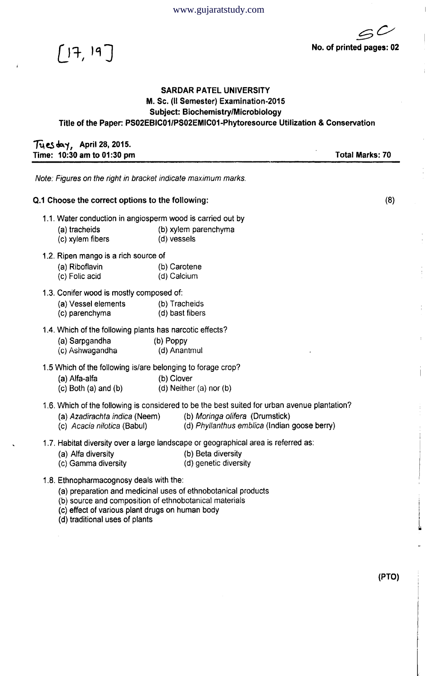$5C$ No. of printed pages: 02



## SARDAR PATEL UNIVERSITY M. Sc. (II Semester) Examination-2015 Subject: Biochemistry/Microbiology Title of the Paper: PS02EBIC01/PS02EMIC01-Phytoresource Utilization & Conservation

## $T_1$ es day, April 28, 2015. Time: 10:30 am to 01:30 pm Total Marks: 70

*Note: Figures on the right in bracket indicate maximum marks.*

## Q.1 Choose the correct options to the following: (8)

- 1.1. Water conduction in angiosperm wood is carried out by
	- (a) tracheids (b) xylem parenchyma
	- (c) xylem fibers (d) vessels
- 1.2. Ripen mango is a rich source of
	- (a) Riboflavin (b) Carotene
	- (c) Folic acid (d) Calcium
- 1.3. Conifer wood is mostly composed of:
	- (a) Vessel elements (b) Tracheids
	- (c) parenchyma (d) bast fibers
- 1.4. Which of the following plants has narcotic effects?
	- (a) Sarpgandha (b) Poppy
	- (c) Ashwagandha (d) Anantmul

1.5 Which of the following is/are belonging to forage crop?

- (a) Alfa-alfa (b) Clover
- $(c)$  Both (a) and (b) (d) Neither (a) nor (b)
- 1.6. Which of the following is considered to be the best suited for urban avenue plantation?
	- (a) Azadirachta indica (Neem) (b) Moringa olifera (Drumstick)
	- (c) *Acacia nilotica* (Babul) (d) *Phyllanthus emblica* (Indian goose berry)
- 1.7. Habitat diversity over a large landscape or geographical area is referred as:
	- (a) Alfa diversity (b) Beta diversity
		-
	- (c) Gamma diversity (d) genetic diversity
- 1.8. Ethnopharmacognosy deals with the:
	- (a) preparation and medicinal uses of ethnobotanical products
	- (b) source and composition of ethnobotanical materials
	- (c) effect of various plant drugs on human body
	- (d) traditional uses of plants

(PTO)